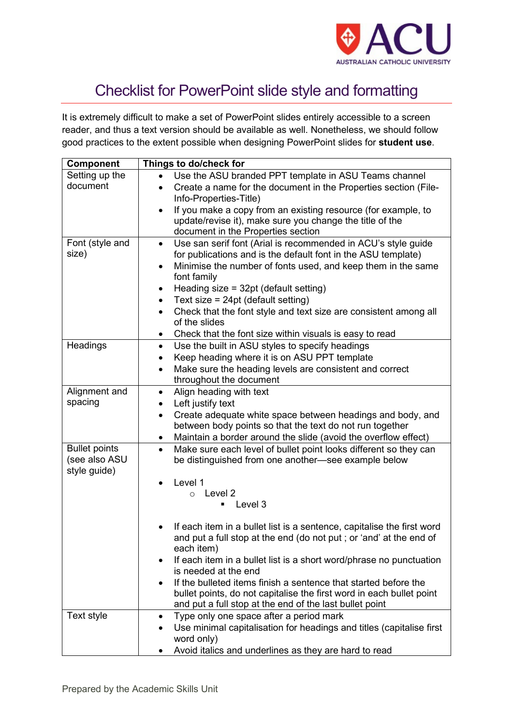

## Checklist for PowerPoint slide style and formatting

It is extremely difficult to make a set of PowerPoint slides entirely accessible to a screen reader, and thus a text version should be available as well. Nonetheless, we should follow good practices to the extent possible when designing PowerPoint slides for **student use**.

| <b>Component</b>                                      | Things to do/check for                                                                                                                      |
|-------------------------------------------------------|---------------------------------------------------------------------------------------------------------------------------------------------|
| Setting up the                                        | Use the ASU branded PPT template in ASU Teams channel                                                                                       |
| document                                              | Create a name for the document in the Properties section (File-<br>$\bullet$                                                                |
|                                                       | Info-Properties-Title)                                                                                                                      |
|                                                       | If you make a copy from an existing resource (for example, to<br>$\bullet$                                                                  |
|                                                       | update/revise it), make sure you change the title of the                                                                                    |
|                                                       | document in the Properties section                                                                                                          |
| Font (style and<br>size)                              | Use san serif font (Arial is recommended in ACU's style guide<br>$\bullet$<br>for publications and is the default font in the ASU template) |
|                                                       | Minimise the number of fonts used, and keep them in the same<br>$\bullet$<br>font family                                                    |
|                                                       | Heading size = $32pt$ (default setting)                                                                                                     |
|                                                       | Text size = $24pt$ (default setting)<br>$\bullet$                                                                                           |
|                                                       | Check that the font style and text size are consistent among all<br>$\bullet$<br>of the slides                                              |
|                                                       | Check that the font size within visuals is easy to read<br>$\bullet$                                                                        |
| Headings                                              | Use the built in ASU styles to specify headings<br>$\bullet$                                                                                |
|                                                       | Keep heading where it is on ASU PPT template<br>$\bullet$                                                                                   |
|                                                       | Make sure the heading levels are consistent and correct<br>$\bullet$                                                                        |
|                                                       | throughout the document                                                                                                                     |
| Alignment and                                         | Align heading with text<br>٠                                                                                                                |
| spacing                                               | Left justify text<br>$\bullet$                                                                                                              |
|                                                       | Create adequate white space between headings and body, and<br>$\bullet$                                                                     |
|                                                       | between body points so that the text do not run together                                                                                    |
|                                                       | Maintain a border around the slide (avoid the overflow effect)<br>٠                                                                         |
| <b>Bullet points</b><br>(see also ASU<br>style guide) | Make sure each level of bullet point looks different so they can<br>$\bullet$<br>be distinguished from one another-see example below        |
|                                                       | Level 1                                                                                                                                     |
|                                                       | Level 2<br>$\circ$                                                                                                                          |
|                                                       | Level 3<br>٠                                                                                                                                |
|                                                       |                                                                                                                                             |
|                                                       | If each item in a bullet list is a sentence, capitalise the first word                                                                      |
|                                                       | and put a full stop at the end (do not put; or 'and' at the end of                                                                          |
|                                                       | each item)                                                                                                                                  |
|                                                       | If each item in a bullet list is a short word/phrase no punctuation<br>is needed at the end                                                 |
|                                                       | If the bulleted items finish a sentence that started before the<br>$\bullet$                                                                |
|                                                       | bullet points, do not capitalise the first word in each bullet point                                                                        |
|                                                       | and put a full stop at the end of the last bullet point                                                                                     |
| Text style                                            | Type only one space after a period mark                                                                                                     |
|                                                       | Use minimal capitalisation for headings and titles (capitalise first                                                                        |
|                                                       | word only)                                                                                                                                  |
|                                                       | Avoid italics and underlines as they are hard to read                                                                                       |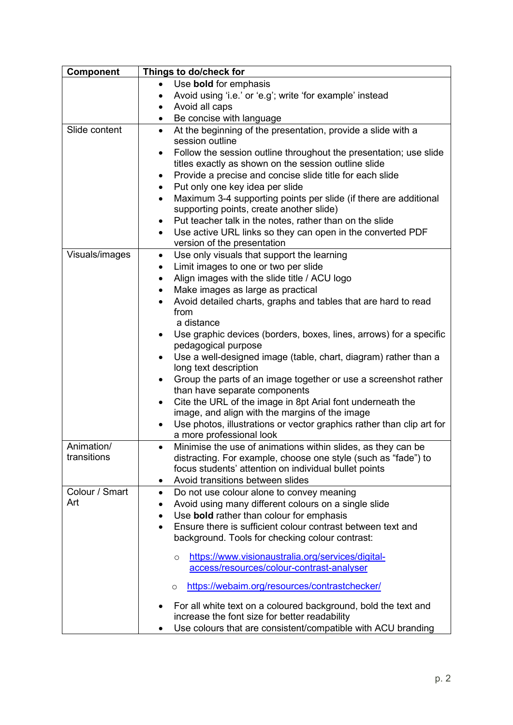| Component      | Things to do/check for                                                                                                      |
|----------------|-----------------------------------------------------------------------------------------------------------------------------|
|                | Use bold for emphasis                                                                                                       |
|                | Avoid using 'i.e.' or 'e.g'; write 'for example' instead                                                                    |
|                | Avoid all caps<br>٠                                                                                                         |
|                | Be concise with language<br>$\bullet$                                                                                       |
| Slide content  | At the beginning of the presentation, provide a slide with a<br>$\bullet$                                                   |
|                | session outline                                                                                                             |
|                | Follow the session outline throughout the presentation; use slide                                                           |
|                | titles exactly as shown on the session outline slide                                                                        |
|                | Provide a precise and concise slide title for each slide<br>٠                                                               |
|                | Put only one key idea per slide<br>٠                                                                                        |
|                | Maximum 3-4 supporting points per slide (if there are additional<br>$\bullet$                                               |
|                | supporting points, create another slide)                                                                                    |
|                | Put teacher talk in the notes, rather than on the slide<br>٠                                                                |
|                | Use active URL links so they can open in the converted PDF<br>$\bullet$                                                     |
|                | version of the presentation                                                                                                 |
| Visuals/images | Use only visuals that support the learning<br>$\bullet$                                                                     |
|                | Limit images to one or two per slide<br>٠                                                                                   |
|                | Align images with the slide title / ACU logo<br>٠                                                                           |
|                | Make images as large as practical<br>$\bullet$                                                                              |
|                | Avoid detailed charts, graphs and tables that are hard to read<br>$\bullet$                                                 |
|                | from                                                                                                                        |
|                | a distance                                                                                                                  |
|                | Use graphic devices (borders, boxes, lines, arrows) for a specific<br>٠                                                     |
|                | pedagogical purpose                                                                                                         |
|                | Use a well-designed image (table, chart, diagram) rather than a<br>$\bullet$                                                |
|                | long text description                                                                                                       |
|                | Group the parts of an image together or use a screenshot rather<br>٠<br>than have separate components                       |
|                | Cite the URL of the image in 8pt Arial font underneath the<br>٠                                                             |
|                | image, and align with the margins of the image                                                                              |
|                | Use photos, illustrations or vector graphics rather than clip art for<br>$\bullet$                                          |
|                | a more professional look                                                                                                    |
| Animation/     | Minimise the use of animations within slides, as they can be<br>$\bullet$                                                   |
| transitions    | distracting. For example, choose one style (such as "fade") to                                                              |
|                | focus students' attention on individual bullet points<br>Avoid transitions between slides                                   |
| Colour / Smart | ٠                                                                                                                           |
| Art            | Do not use colour alone to convey meaning<br>$\bullet$                                                                      |
|                | Avoid using many different colours on a single slide                                                                        |
|                | Use bold rather than colour for emphasis<br>٠                                                                               |
|                | Ensure there is sufficient colour contrast between text and<br>$\bullet$<br>background. Tools for checking colour contrast: |
|                |                                                                                                                             |
|                | https://www.visionaustralia.org/services/digital-<br>$\circ$                                                                |
|                | access/resources/colour-contrast-analyser                                                                                   |
|                | https://webaim.org/resources/contrastchecker/<br>$\circ$                                                                    |
|                |                                                                                                                             |
|                | For all white text on a coloured background, bold the text and<br>increase the font size for better readability             |
|                | Use colours that are consistent/compatible with ACU branding                                                                |